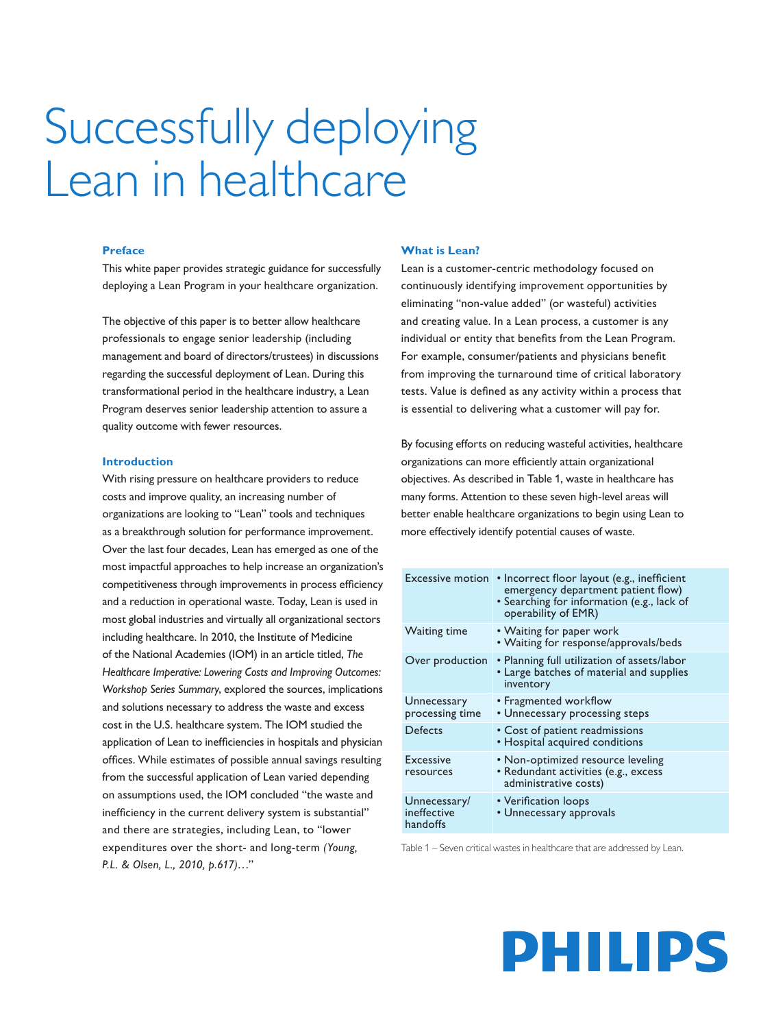# Successfully deploying Lean in healthcare

#### **Preface**

This white paper provides strategic guidance for successfully deploying a Lean Program in your healthcare organization.

The objective of this paper is to better allow healthcare professionals to engage senior leadership (including management and board of directors/trustees) in discussions regarding the successful deployment of Lean. During this transformational period in the healthcare industry, a Lean Program deserves senior leadership attention to assure a quality outcome with fewer resources.

#### **Introduction**

With rising pressure on healthcare providers to reduce costs and improve quality, an increasing number of organizations are looking to "Lean" tools and techniques as a breakthrough solution for performance improvement. Over the last four decades, Lean has emerged as one of the most impactful approaches to help increase an organization's competitiveness through improvements in process efficiency and a reduction in operational waste. Today, Lean is used in most global industries and virtually all organizational sectors including healthcare. In 2010, the Institute of Medicine of the National Academies (IOM) in an article titled, *The Healthcare Imperative: Lowering Costs and Improving Outcomes: Workshop Series Summary*, explored the sources, implications and solutions necessary to address the waste and excess cost in the U.S. healthcare system. The IOM studied the application of Lean to inefficiencies in hospitals and physician offices. While estimates of possible annual savings resulting from the successful application of Lean varied depending on assumptions used, the IOM concluded "the waste and inefficiency in the current delivery system is substantial" and there are strategies, including Lean, to "lower expenditures over the short- and long-term *(Young, P.L. & Olsen, L., 2010, p.617)*…"

#### **What is Lean?**

Lean is a customer-centric methodology focused on continuously identifying improvement opportunities by eliminating "non-value added" (or wasteful) activities and creating value. In a Lean process, a customer is any individual or entity that benefits from the Lean Program. For example, consumer/patients and physicians benefit from improving the turnaround time of critical laboratory tests. Value is defined as any activity within a process that is essential to delivering what a customer will pay for.

By focusing efforts on reducing wasteful activities, healthcare organizations can more efficiently attain organizational objectives. As described in Table 1, waste in healthcare has many forms. Attention to these seven high-level areas will better enable healthcare organizations to begin using Lean to more effectively identify potential causes of waste.

| <b>Excessive motion</b>                 | • Incorrect floor layout (e.g., inefficient<br>emergency department patient flow)<br>• Searching for information (e.g., lack of<br>operability of EMR) |
|-----------------------------------------|--------------------------------------------------------------------------------------------------------------------------------------------------------|
| <b>Waiting time</b>                     | • Waiting for paper work<br>• Waiting for response/approvals/beds                                                                                      |
| Over production                         | • Planning full utilization of assets/labor<br>• Large batches of material and supplies<br>inventory                                                   |
| Unnecessary<br>processing time          | • Fragmented workflow<br>• Unnecessary processing steps                                                                                                |
| Defects                                 | • Cost of patient readmissions<br>• Hospital acquired conditions                                                                                       |
| <b>Excessive</b><br>resources           | • Non-optimized resource leveling<br>• Redundant activities (e.g., excess<br>administrative costs)                                                     |
| Unnecessary/<br>ineffective<br>handoffs | • Verification loops<br>• Unnecessary approvals                                                                                                        |

Table 1 – Seven critical wastes in healthcare that are addressed by Lean.

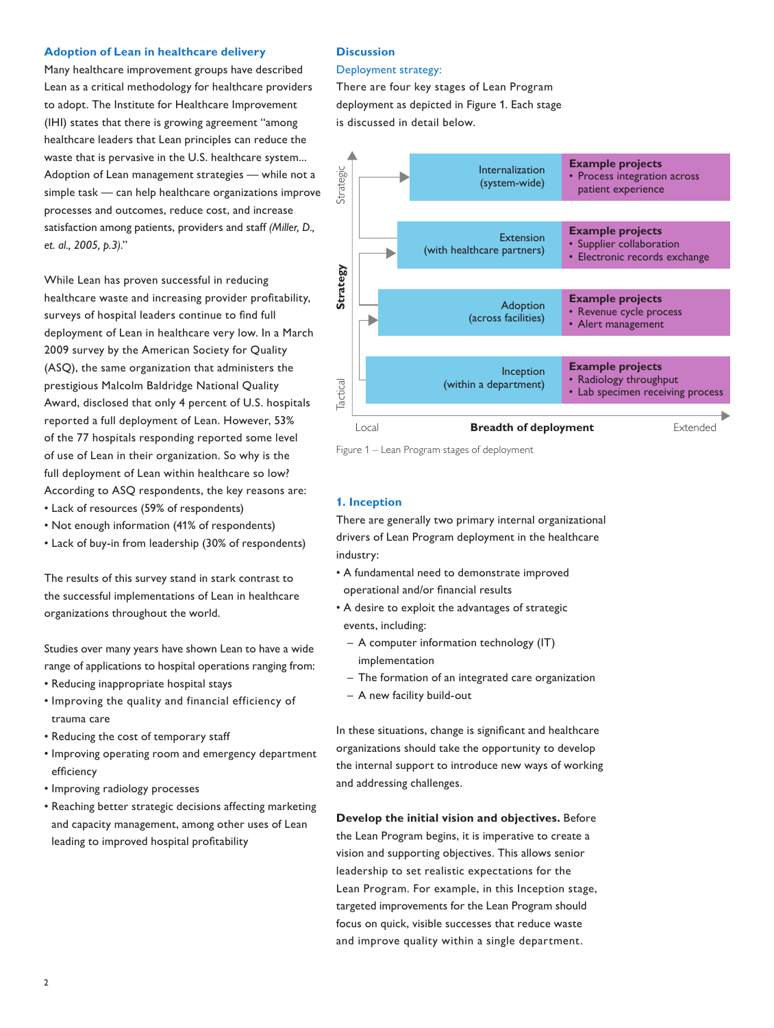#### **Adoption of Lean in healthcare delivery**

Many healthcare improvement groups have described Lean as a critical methodology for healthcare providers to adopt. The Institute for Healthcare Improvement (IHI) states that there is growing agreement "among healthcare leaders that Lean principles can reduce the waste that is pervasive in the U.S. healthcare system... Adoption of Lean management strategies — while not a simple task — can help healthcare organizations improve processes and outcomes, reduce cost, and increase satisfaction among patients, providers and staff *(Miller, D., et. al., 2005, p.3)*."

While Lean has proven successful in reducing healthcare waste and increasing provider profitability, surveys of hospital leaders continue to find full deployment of Lean in healthcare very low. In a March 2009 survey by the American Society for Quality (ASQ), the same organization that administers the prestigious Malcolm Baldridge National Quality Award, disclosed that only 4 percent of U.S. hospitals reported a full deployment of Lean. However, 53% of the 77 hospitals responding reported some level of use of Lean in their organization. So why is the full deployment of Lean within healthcare so low? According to ASQ respondents, the key reasons are: • Lack of resources (59% of respondents)

- Not enough information (41% of respondents)
- Lack of buy-in from leadership (30% of respondents)

The results of this survey stand in stark contrast to the successful implementations of Lean in healthcare organizations throughout the world.

Studies over many years have shown Lean to have a wide range of applications to hospital operations ranging from:

- Reducing inappropriate hospital stays
- Improving the quality and financial efficiency of trauma care
- Reducing the cost of temporary staff
- Improving operating room and emergency department efficiency
- Improving radiology processes
- Reaching better strategic decisions affecting marketing and capacity management, among other uses of Lean leading to improved hospital profitability

#### **Discussion**

#### Deployment strategy:

There are four key stages of Lean Program deployment as depicted in Figure 1. Each stage is discussed in detail below.



Figure 1 – Lean Program stages of deployment

#### **1. Inception**

There are generally two primary internal organizational drivers of Lean Program deployment in the healthcare industry:

- A fundamental need to demonstrate improved operational and/or financial results
- A desire to exploit the advantages of strategic events, including:
	- A computer information technology (IT) implementation
	- The formation of an integrated care organization
	- A new facility build-out

In these situations, change is significant and healthcare organizations should take the opportunity to develop the internal support to introduce new ways of working and addressing challenges.

**Develop the initial vision and objectives.** Before the Lean Program begins, it is imperative to create a vision and supporting objectives. This allows senior leadership to set realistic expectations for the Lean Program. For example, in this Inception stage, targeted improvements for the Lean Program should focus on quick, visible successes that reduce waste and improve quality within a single department.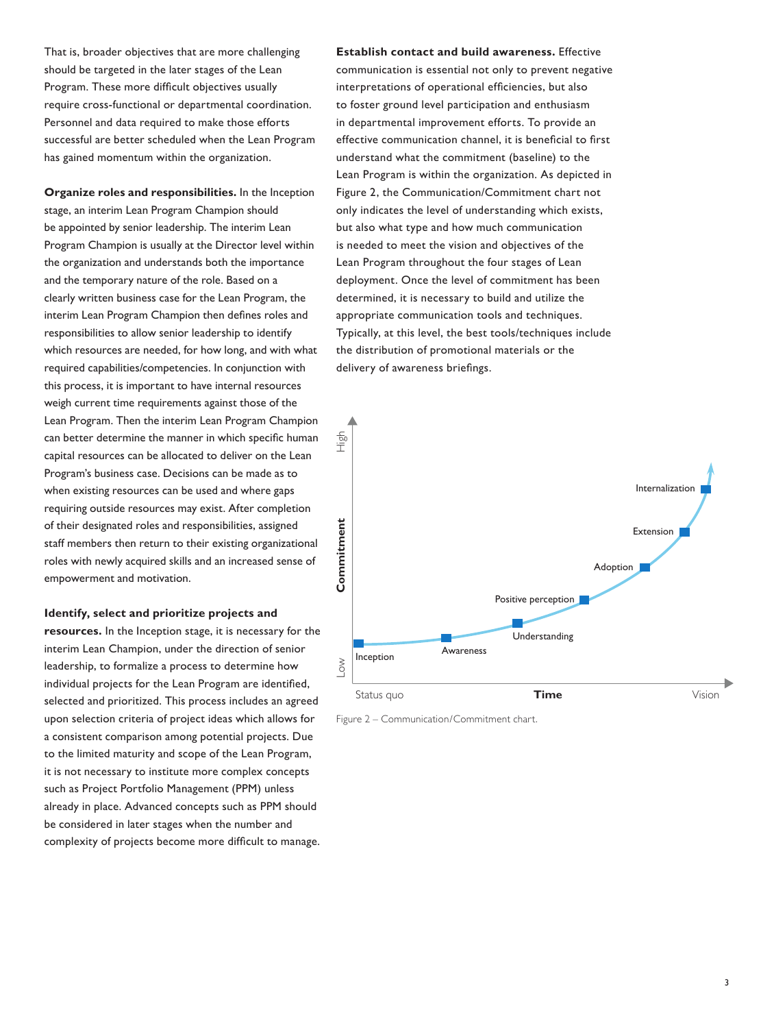That is, broader objectives that are more challenging should be targeted in the later stages of the Lean Program. These more difficult objectives usually require cross-functional or departmental coordination. Personnel and data required to make those efforts successful are better scheduled when the Lean Program has gained momentum within the organization.

**Organize roles and responsibilities.** In the Inception stage, an interim Lean Program Champion should be appointed by senior leadership. The interim Lean Program Champion is usually at the Director level within the organization and understands both the importance and the temporary nature of the role. Based on a clearly written business case for the Lean Program, the interim Lean Program Champion then defines roles and responsibilities to allow senior leadership to identify which resources are needed, for how long, and with what required capabilities/competencies. In conjunction with this process, it is important to have internal resources weigh current time requirements against those of the Lean Program. Then the interim Lean Program Champion can better determine the manner in which specific human capital resources can be allocated to deliver on the Lean Program's business case. Decisions can be made as to when existing resources can be used and where gaps requiring outside resources may exist. After completion of their designated roles and responsibilities, assigned staff members then return to their existing organizational roles with newly acquired skills and an increased sense of empowerment and motivation.

#### **Identify, select and prioritize projects and**

**resources.** In the Inception stage, it is necessary for the interim Lean Champion, under the direction of senior leadership, to formalize a process to determine how individual projects for the Lean Program are identified, selected and prioritized. This process includes an agreed upon selection criteria of project ideas which allows for a consistent comparison among potential projects. Due to the limited maturity and scope of the Lean Program, it is not necessary to institute more complex concepts such as Project Portfolio Management (PPM) unless already in place. Advanced concepts such as PPM should be considered in later stages when the number and complexity of projects become more difficult to manage.

**Establish contact and build awareness.** Effective communication is essential not only to prevent negative interpretations of operational efficiencies, but also to foster ground level participation and enthusiasm in departmental improvement efforts. To provide an effective communication channel, it is beneficial to first understand what the commitment (baseline) to the Lean Program is within the organization. As depicted in Figure 2, the Communication/Commitment chart not only indicates the level of understanding which exists, but also what type and how much communication is needed to meet the vision and objectives of the Lean Program throughout the four stages of Lean deployment. Once the level of commitment has been determined, it is necessary to build and utilize the appropriate communication tools and techniques. Typically, at this level, the best tools/techniques include the distribution of promotional materials or the delivery of awareness briefings.



Figure 2 – Communication/Commitment chart.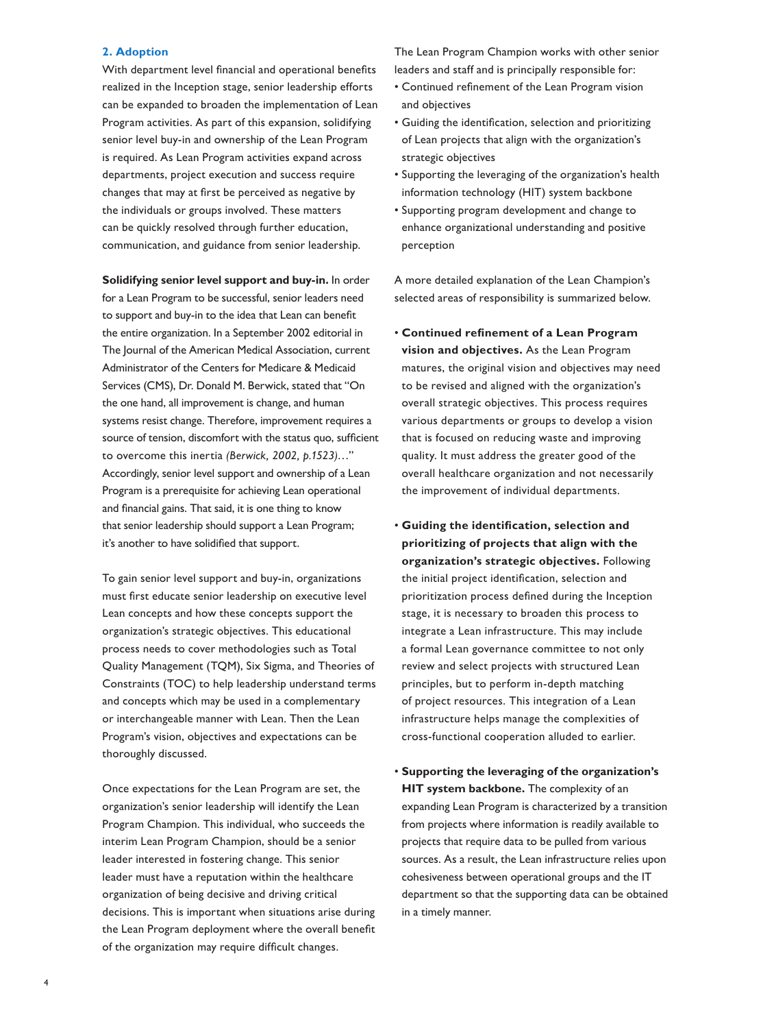#### **2. Adoption**

With department level financial and operational benefits realized in the Inception stage, senior leadership efforts can be expanded to broaden the implementation of Lean Program activities. As part of this expansion, solidifying senior level buy-in and ownership of the Lean Program is required. As Lean Program activities expand across departments, project execution and success require changes that may at first be perceived as negative by the individuals or groups involved. These matters can be quickly resolved through further education, communication, and guidance from senior leadership.

**Solidifying senior level support and buy-in.** In order for a Lean Program to be successful, senior leaders need to support and buy-in to the idea that Lean can benefit the entire organization. In a September 2002 editorial in The Journal of the American Medical Association, current Administrator of the Centers for Medicare & Medicaid Services (CMS), Dr. Donald M. Berwick, stated that "On the one hand, all improvement is change, and human systems resist change. Therefore, improvement requires a source of tension, discomfort with the status quo, sufficient to overcome this inertia *(Berwick, 2002, p.1523)…*" Accordingly, senior level support and ownership of a Lean Program is a prerequisite for achieving Lean operational and financial gains. That said, it is one thing to know that senior leadership should support a Lean Program; it's another to have solidified that support.

To gain senior level support and buy-in, organizations must first educate senior leadership on executive level Lean concepts and how these concepts support the organization's strategic objectives. This educational process needs to cover methodologies such as Total Quality Management (TQM), Six Sigma, and Theories of Constraints (TOC) to help leadership understand terms and concepts which may be used in a complementary or interchangeable manner with Lean. Then the Lean Program's vision, objectives and expectations can be thoroughly discussed.

Once expectations for the Lean Program are set, the organization's senior leadership will identify the Lean Program Champion. This individual, who succeeds the interim Lean Program Champion, should be a senior leader interested in fostering change. This senior leader must have a reputation within the healthcare organization of being decisive and driving critical decisions. This is important when situations arise during the Lean Program deployment where the overall benefit of the organization may require difficult changes.

The Lean Program Champion works with other senior leaders and staff and is principally responsible for:

- Continued refinement of the Lean Program vision and objectives
- Guiding the identification, selection and prioritizing of Lean projects that align with the organization's strategic objectives
- Supporting the leveraging of the organization's health information technology (HIT) system backbone
- Supporting program development and change to enhance organizational understanding and positive perception

A more detailed explanation of the Lean Champion's selected areas of responsibility is summarized below.

- **Continued refinement of a Lean Program vision and objectives.** As the Lean Program matures, the original vision and objectives may need to be revised and aligned with the organization's overall strategic objectives. This process requires various departments or groups to develop a vision that is focused on reducing waste and improving quality. It must address the greater good of the overall healthcare organization and not necessarily the improvement of individual departments.
- **Guiding the identification, selection and prioritizing of projects that align with the organization's strategic objectives.** Following the initial project identification, selection and prioritization process defined during the Inception stage, it is necessary to broaden this process to integrate a Lean infrastructure. This may include a formal Lean governance committee to not only review and select projects with structured Lean principles, but to perform in-depth matching of project resources. This integration of a Lean infrastructure helps manage the complexities of cross-functional cooperation alluded to earlier.
- **Supporting the leveraging of the organization's HIT system backbone.** The complexity of an expanding Lean Program is characterized by a transition from projects where information is readily available to projects that require data to be pulled from various sources. As a result, the Lean infrastructure relies upon cohesiveness between operational groups and the IT department so that the supporting data can be obtained in a timely manner.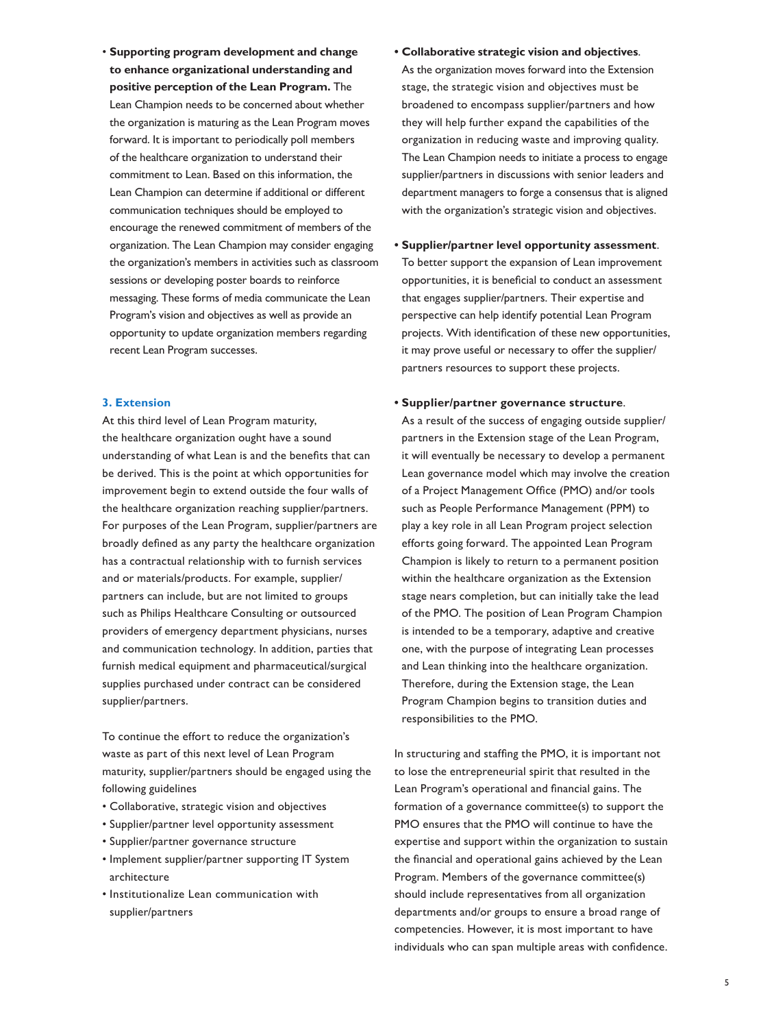• **Supporting program development and change to enhance organizational understanding and positive perception of the Lean Program.** The Lean Champion needs to be concerned about whether the organization is maturing as the Lean Program moves forward. It is important to periodically poll members of the healthcare organization to understand their commitment to Lean. Based on this information, the Lean Champion can determine if additional or different communication techniques should be employed to encourage the renewed commitment of members of the organization. The Lean Champion may consider engaging the organization's members in activities such as classroom sessions or developing poster boards to reinforce messaging. These forms of media communicate the Lean Program's vision and objectives as well as provide an opportunity to update organization members regarding recent Lean Program successes.

#### **3. Extension**

At this third level of Lean Program maturity, the healthcare organization ought have a sound understanding of what Lean is and the benefits that can be derived. This is the point at which opportunities for improvement begin to extend outside the four walls of the healthcare organization reaching supplier/partners. For purposes of the Lean Program, supplier/partners are broadly defined as any party the healthcare organization has a contractual relationship with to furnish services and or materials/products. For example, supplier/ partners can include, but are not limited to groups such as Philips Healthcare Consulting or outsourced providers of emergency department physicians, nurses and communication technology. In addition, parties that furnish medical equipment and pharmaceutical/surgical supplies purchased under contract can be considered supplier/partners.

To continue the effort to reduce the organization's waste as part of this next level of Lean Program maturity, supplier/partners should be engaged using the following guidelines

- Collaborative, strategic vision and objectives
- Supplier/partner level opportunity assessment
- Supplier/partner governance structure
- Implement supplier/partner supporting IT System architecture
- Institutionalize Lean communication with supplier/partners
- **• Collaborative strategic vision and objectives**. As the organization moves forward into the Extension stage, the strategic vision and objectives must be broadened to encompass supplier/partners and how they will help further expand the capabilities of the organization in reducing waste and improving quality. The Lean Champion needs to initiate a process to engage supplier/partners in discussions with senior leaders and department managers to forge a consensus that is aligned with the organization's strategic vision and objectives.
- **• Supplier/partner level opportunity assessment**. To better support the expansion of Lean improvement opportunities, it is beneficial to conduct an assessment that engages supplier/partners. Their expertise and perspective can help identify potential Lean Program projects. With identification of these new opportunities, it may prove useful or necessary to offer the supplier/ partners resources to support these projects.
- **• Supplier/partner governance structure**.

As a result of the success of engaging outside supplier/ partners in the Extension stage of the Lean Program, it will eventually be necessary to develop a permanent Lean governance model which may involve the creation of a Project Management Office (PMO) and/or tools such as People Performance Management (PPM) to play a key role in all Lean Program project selection efforts going forward. The appointed Lean Program Champion is likely to return to a permanent position within the healthcare organization as the Extension stage nears completion, but can initially take the lead of the PMO. The position of Lean Program Champion is intended to be a temporary, adaptive and creative one, with the purpose of integrating Lean processes and Lean thinking into the healthcare organization. Therefore, during the Extension stage, the Lean Program Champion begins to transition duties and responsibilities to the PMO.

In structuring and staffing the PMO, it is important not to lose the entrepreneurial spirit that resulted in the Lean Program's operational and financial gains. The formation of a governance committee(s) to support the PMO ensures that the PMO will continue to have the expertise and support within the organization to sustain the financial and operational gains achieved by the Lean Program. Members of the governance committee(s) should include representatives from all organization departments and/or groups to ensure a broad range of competencies. However, it is most important to have individuals who can span multiple areas with confidence.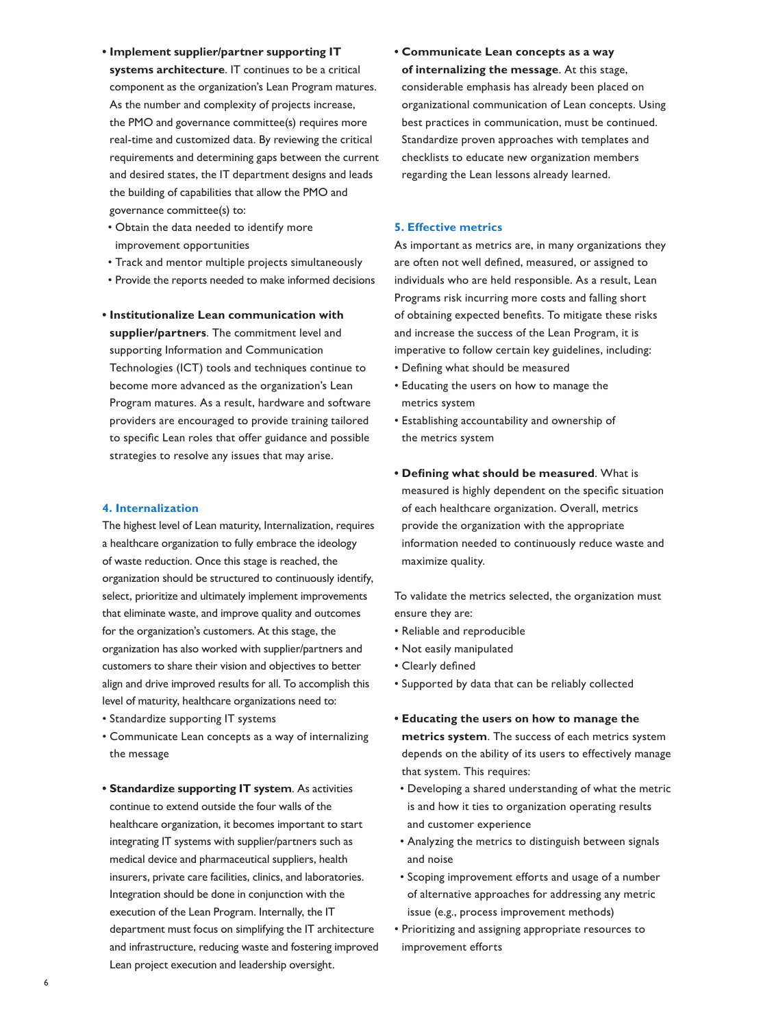- **• Implement supplier/partner supporting IT systems architecture**. IT continues to be a critical component as the organization's Lean Program matures. As the number and complexity of projects increase, the PMO and governance committee(s) requires more real-time and customized data. By reviewing the critical requirements and determining gaps between the current and desired states, the IT department designs and leads the building of capabilities that allow the PMO and governance committee(s) to:
- Obtain the data needed to identify more improvement opportunities
- Track and mentor multiple projects simultaneously
- Provide the reports needed to make informed decisions
- **• Institutionalize Lean communication with supplier/partners**. The commitment level and supporting Information and Communication Technologies (ICT) tools and techniques continue to become more advanced as the organization's Lean Program matures. As a result, hardware and software providers are encouraged to provide training tailored to specific Lean roles that offer guidance and possible strategies to resolve any issues that may arise.

#### **4. Internalization**

The highest level of Lean maturity, Internalization, requires a healthcare organization to fully embrace the ideology of waste reduction. Once this stage is reached, the organization should be structured to continuously identify, select, prioritize and ultimately implement improvements that eliminate waste, and improve quality and outcomes for the organization's customers. At this stage, the organization has also worked with supplier/partners and customers to share their vision and objectives to better align and drive improved results for all. To accomplish this level of maturity, healthcare organizations need to:

- Standardize supporting IT systems
- Communicate Lean concepts as a way of internalizing the message
- **• Standardize supporting IT system**. As activities continue to extend outside the four walls of the healthcare organization, it becomes important to start integrating IT systems with supplier/partners such as medical device and pharmaceutical suppliers, health insurers, private care facilities, clinics, and laboratories. Integration should be done in conjunction with the execution of the Lean Program. Internally, the IT department must focus on simplifying the IT architecture and infrastructure, reducing waste and fostering improved Lean project execution and leadership oversight.

**• Communicate Lean concepts as a way of internalizing the message**. At this stage, considerable emphasis has already been placed on organizational communication of Lean concepts. Using best practices in communication, must be continued. Standardize proven approaches with templates and checklists to educate new organization members regarding the Lean lessons already learned.

#### **5. Effective metrics**

As important as metrics are, in many organizations they are often not well defined, measured, or assigned to individuals who are held responsible. As a result, Lean Programs risk incurring more costs and falling short of obtaining expected benefits. To mitigate these risks and increase the success of the Lean Program, it is imperative to follow certain key guidelines, including:

- Defining what should be measured
- Educating the users on how to manage the metrics system
- Establishing accountability and ownership of the metrics system
- **• Defining what should be measured**. What is measured is highly dependent on the specific situation of each healthcare organization. Overall, metrics provide the organization with the appropriate information needed to continuously reduce waste and maximize quality.

To validate the metrics selected, the organization must ensure they are:

- Reliable and reproducible
- Not easily manipulated
- Clearly defined
- Supported by data that can be reliably collected
- **• Educating the users on how to manage the metrics system**. The success of each metrics system depends on the ability of its users to effectively manage that system. This requires:
- Developing a shared understanding of what the metric is and how it ties to organization operating results and customer experience
- Analyzing the metrics to distinguish between signals and noise
- Scoping improvement efforts and usage of a number of alternative approaches for addressing any metric issue (e.g., process improvement methods)
- Prioritizing and assigning appropriate resources to improvement efforts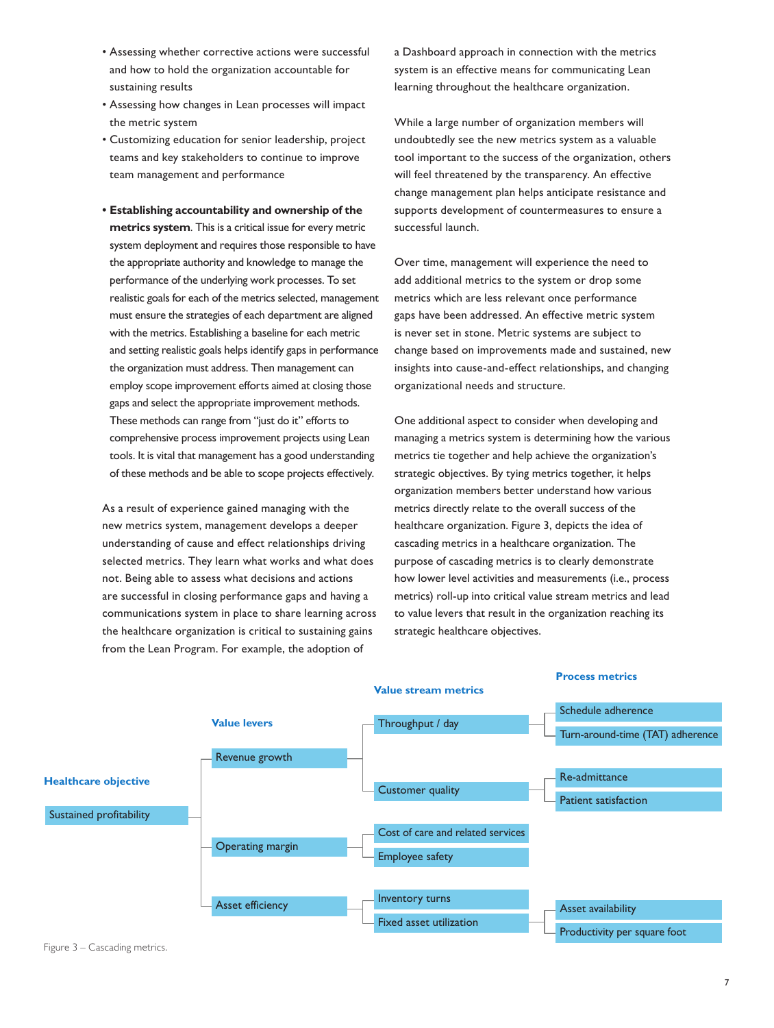- Assessing whether corrective actions were successful and how to hold the organization accountable for sustaining results
- Assessing how changes in Lean processes will impact the metric system
- Customizing education for senior leadership, project teams and key stakeholders to continue to improve team management and performance
- **• Establishing accountability and ownership of the metrics system**. This is a critical issue for every metric system deployment and requires those responsible to have the appropriate authority and knowledge to manage the performance of the underlying work processes. To set realistic goals for each of the metrics selected, management must ensure the strategies of each department are aligned with the metrics. Establishing a baseline for each metric and setting realistic goals helps identify gaps in performance the organization must address. Then management can employ scope improvement efforts aimed at closing those gaps and select the appropriate improvement methods. These methods can range from "just do it" efforts to comprehensive process improvement projects using Lean tools. It is vital that management has a good understanding of these methods and be able to scope projects effectively.

As a result of experience gained managing with the new metrics system, management develops a deeper understanding of cause and effect relationships driving selected metrics. They learn what works and what does not. Being able to assess what decisions and actions are successful in closing performance gaps and having a communications system in place to share learning across the healthcare organization is critical to sustaining gains from the Lean Program. For example, the adoption of

a Dashboard approach in connection with the metrics system is an effective means for communicating Lean learning throughout the healthcare organization.

While a large number of organization members will undoubtedly see the new metrics system as a valuable tool important to the success of the organization, others will feel threatened by the transparency. An effective change management plan helps anticipate resistance and supports development of countermeasures to ensure a successful launch.

Over time, management will experience the need to add additional metrics to the system or drop some metrics which are less relevant once performance gaps have been addressed. An effective metric system is never set in stone. Metric systems are subject to change based on improvements made and sustained, new insights into cause-and-effect relationships, and changing organizational needs and structure.

One additional aspect to consider when developing and managing a metrics system is determining how the various metrics tie together and help achieve the organization's strategic objectives. By tying metrics together, it helps organization members better understand how various metrics directly relate to the overall success of the healthcare organization. Figure 3, depicts the idea of cascading metrics in a healthcare organization. The purpose of cascading metrics is to clearly demonstrate how lower level activities and measurements (i.e., process metrics) roll-up into critical value stream metrics and lead to value levers that result in the organization reaching its strategic healthcare objectives.

**Process metrics**



### Figure 3 – Cascading metrics.